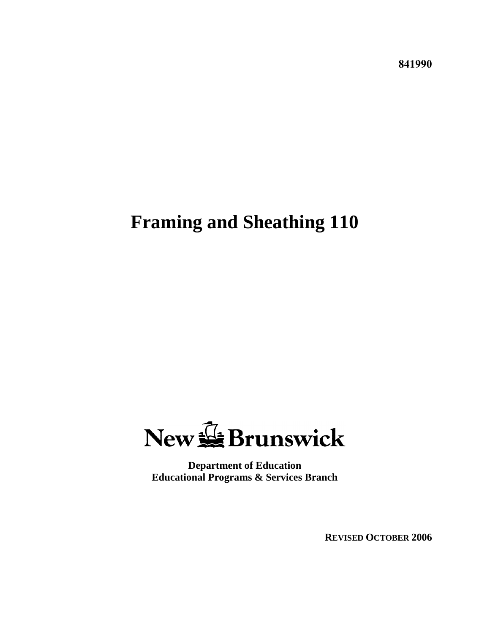**841990**

# **Framing and Sheathing 110**



**Department of Education Educational Programs & Services Branch**

**REVISED OCTOBER 2006**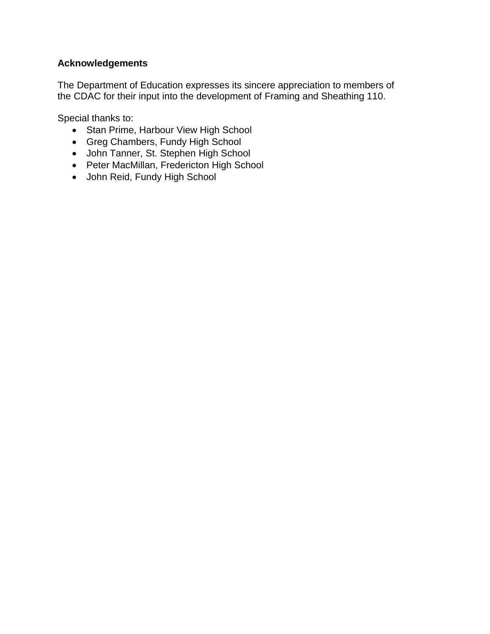## **Acknowledgements**

The Department of Education expresses its sincere appreciation to members of the CDAC for their input into the development of Framing and Sheathing 110.

Special thanks to:

- Stan Prime, Harbour View High School
- Greg Chambers, Fundy High School
- John Tanner, St. Stephen High School
- Peter MacMillan, Fredericton High School
- John Reid, Fundy High School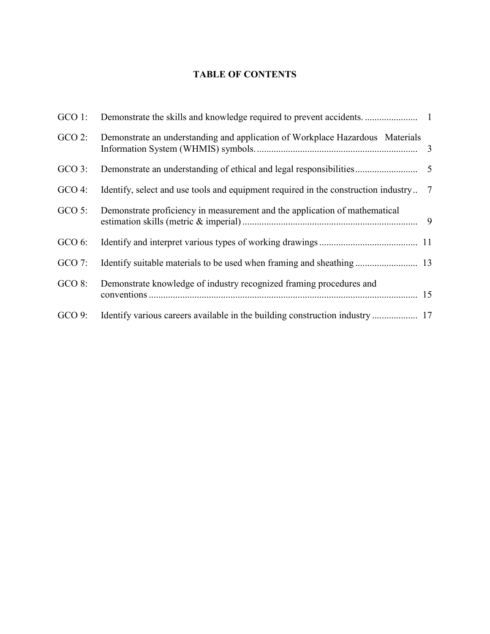## **TABLE OF CONTENTS**

| $GCO$ 1:  |                                                                                    |                 |
|-----------|------------------------------------------------------------------------------------|-----------------|
| $GCO$ 2:  | Demonstrate an understanding and application of Workplace Hazardous Materials      |                 |
| $GCO$ 3:  |                                                                                    |                 |
| $GCO$ 4:  | Identify, select and use tools and equipment required in the construction industry | $7\phantom{.0}$ |
| $GCO$ 5:  | Demonstrate proficiency in measurement and the application of mathematical         |                 |
| $GCO 6$ : |                                                                                    |                 |
| $GCO$ 7:  |                                                                                    |                 |
| $GCO 8$ : | Demonstrate knowledge of industry recognized framing procedures and                |                 |
| $GCO 9$ : |                                                                                    |                 |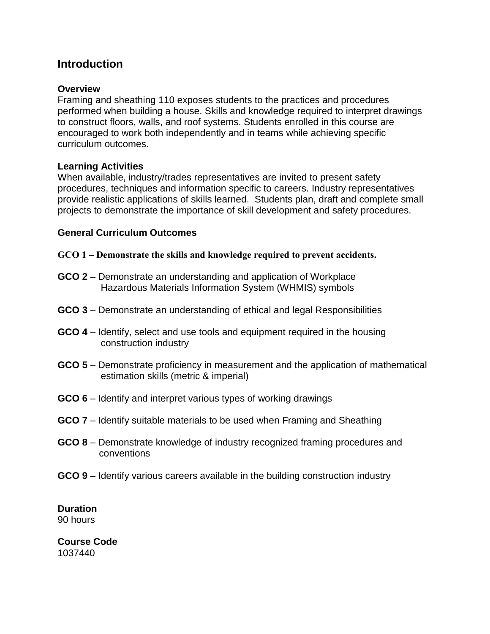## **Introduction**

#### **Overview**

Framing and sheathing 110 exposes students to the practices and procedures performed when building a house. Skills and knowledge required to interpret drawings to construct floors, walls, and roof systems. Students enrolled in this course are encouraged to work both independently and in teams while achieving specific curriculum outcomes.

#### **Learning Activities**

When available, industry/trades representatives are invited to present safety procedures, techniques and information specific to careers. Industry representatives provide realistic applications of skills learned. Students plan, draft and complete small projects to demonstrate the importance of skill development and safety procedures.

#### **General Curriculum Outcomes**

- <span id="page-4-0"></span>**GCO 1 – Demonstrate the skills and knowledge required to prevent accidents.**
- **GCO 2** Demonstrate an understanding and application of Workplace Hazardous Materials Information System (WHMIS) symbols
- **GCO 3** Demonstrate an understanding of ethical and legal Responsibilities
- **GCO 4** Identify, select and use tools and equipment required in the housing construction industry
- **GCO 5** Demonstrate proficiency in measurement and the application of mathematical estimation skills (metric & imperial)
- **GCO 6** Identify and interpret various types of working drawings
- **GCO 7** Identify suitable materials to be used when Framing and Sheathing
- **GCO 8** Demonstrate knowledge of industry recognized framing procedures and conventions
- **GCO 9** Identify various careers available in the building construction industry

**Duration** 90 hours

**Course Code** 1037440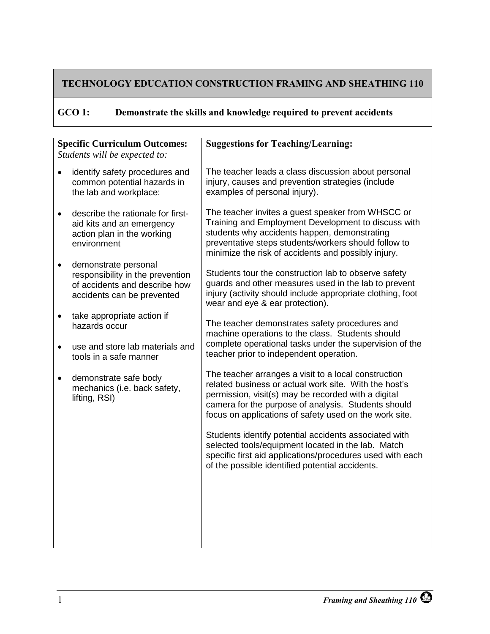# **GCO 1: Demonstrate the skills and knowledge required to prevent accidents**

| <b>Specific Curriculum Outcomes:</b> |                                                                                                                         | <b>Suggestions for Teaching/Learning:</b>                                                                                                                                                                                                                                             |  |
|--------------------------------------|-------------------------------------------------------------------------------------------------------------------------|---------------------------------------------------------------------------------------------------------------------------------------------------------------------------------------------------------------------------------------------------------------------------------------|--|
|                                      | Students will be expected to:                                                                                           |                                                                                                                                                                                                                                                                                       |  |
|                                      | identify safety procedures and<br>common potential hazards in<br>the lab and workplace:                                 | The teacher leads a class discussion about personal<br>injury, causes and prevention strategies (include<br>examples of personal injury).                                                                                                                                             |  |
| $\bullet$                            | describe the rationale for first-<br>aid kits and an emergency<br>action plan in the working<br>environment             | The teacher invites a guest speaker from WHSCC or<br>Training and Employment Development to discuss with<br>students why accidents happen, demonstrating<br>preventative steps students/workers should follow to<br>minimize the risk of accidents and possibly injury.               |  |
| $\bullet$                            | demonstrate personal<br>responsibility in the prevention<br>of accidents and describe how<br>accidents can be prevented | Students tour the construction lab to observe safety<br>guards and other measures used in the lab to prevent<br>injury (activity should include appropriate clothing, foot<br>wear and eye & ear protection).                                                                         |  |
| $\bullet$                            | take appropriate action if<br>hazards occur                                                                             | The teacher demonstrates safety procedures and<br>machine operations to the class. Students should                                                                                                                                                                                    |  |
| $\bullet$                            | use and store lab materials and<br>tools in a safe manner                                                               | complete operational tasks under the supervision of the<br>teacher prior to independent operation.                                                                                                                                                                                    |  |
| $\bullet$                            | demonstrate safe body<br>mechanics (i.e. back safety,<br>lifting, RSI)                                                  | The teacher arranges a visit to a local construction<br>related business or actual work site. With the host's<br>permission, visit(s) may be recorded with a digital<br>camera for the purpose of analysis. Students should<br>focus on applications of safety used on the work site. |  |
|                                      |                                                                                                                         | Students identify potential accidents associated with<br>selected tools/equipment located in the lab. Match<br>specific first aid applications/procedures used with each<br>of the possible identified potential accidents.                                                           |  |
|                                      |                                                                                                                         |                                                                                                                                                                                                                                                                                       |  |
|                                      |                                                                                                                         |                                                                                                                                                                                                                                                                                       |  |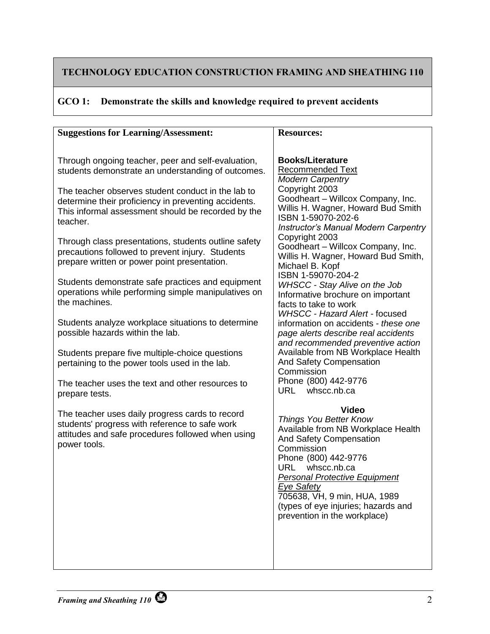## **GCO 1: Demonstrate the skills and knowledge required to prevent accidents**

| <b>Suggestions for Learning/Assessment:</b>                                                                                                                                                                                                                                                                                                                                                          | <b>Resources:</b>                                                                                                                                                                                                                                                                                                                                                                |
|------------------------------------------------------------------------------------------------------------------------------------------------------------------------------------------------------------------------------------------------------------------------------------------------------------------------------------------------------------------------------------------------------|----------------------------------------------------------------------------------------------------------------------------------------------------------------------------------------------------------------------------------------------------------------------------------------------------------------------------------------------------------------------------------|
| Through ongoing teacher, peer and self-evaluation,<br>students demonstrate an understanding of outcomes.<br>The teacher observes student conduct in the lab to<br>determine their proficiency in preventing accidents.<br>This informal assessment should be recorded by the<br>teacher.<br>Through class presentations, students outline safety<br>precautions followed to prevent injury. Students | <b>Books/Literature</b><br><b>Recommended Text</b><br><b>Modern Carpentry</b><br>Copyright 2003<br>Goodheart - Willcox Company, Inc.<br>Willis H. Wagner, Howard Bud Smith<br>ISBN 1-59070-202-6<br><b>Instructor's Manual Modern Carpentry</b><br>Copyright 2003<br>Goodheart - Willcox Company, Inc.<br>Willis H. Wagner, Howard Bud Smith,                                    |
| prepare written or power point presentation.<br>Students demonstrate safe practices and equipment<br>operations while performing simple manipulatives on<br>the machines.<br>Students analyze workplace situations to determine<br>possible hazards within the lab.<br>Students prepare five multiple-choice questions<br>pertaining to the power tools used in the lab.                             | Michael B. Kopf<br>ISBN 1-59070-204-2<br><b>WHSCC - Stay Alive on the Job</b><br>Informative brochure on important<br>facts to take to work<br>WHSCC - Hazard Alert - focused<br>information on accidents - these one<br>page alerts describe real accidents<br>and recommended preventive action<br>Available from NB Workplace Health<br>And Safety Compensation<br>Commission |
| The teacher uses the text and other resources to<br>prepare tests.<br>The teacher uses daily progress cards to record<br>students' progress with reference to safe work<br>attitudes and safe procedures followed when using<br>power tools.                                                                                                                                                         | Phone (800) 442-9776<br>whscc.nb.ca<br>URL<br>Video<br>Things You Better Know<br>Available from NB Workplace Health<br>And Safety Compensation<br>Commission<br>Phone (800) 442-9776<br>whscc.nb.ca<br>URL.<br><b>Personal Protective Equipment</b><br><b>Eye Safety</b><br>705638, VH, 9 min, HUA, 1989<br>(types of eye injuries; hazards and<br>prevention in the workplace)  |
|                                                                                                                                                                                                                                                                                                                                                                                                      |                                                                                                                                                                                                                                                                                                                                                                                  |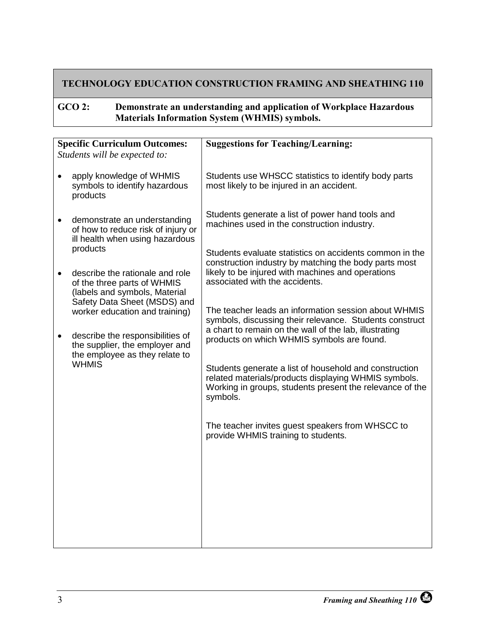#### <span id="page-8-0"></span>**GCO 2: Demonstrate an understanding and application of Workplace Hazardous Materials Information System (WHMIS) symbols.**

| <b>Specific Curriculum Outcomes:</b><br>Students will be expected to: |                                                                                                       | <b>Suggestions for Teaching/Learning:</b>                                                                                                                                              |
|-----------------------------------------------------------------------|-------------------------------------------------------------------------------------------------------|----------------------------------------------------------------------------------------------------------------------------------------------------------------------------------------|
|                                                                       |                                                                                                       |                                                                                                                                                                                        |
|                                                                       | apply knowledge of WHMIS<br>symbols to identify hazardous<br>products                                 | Students use WHSCC statistics to identify body parts<br>most likely to be injured in an accident.                                                                                      |
| $\bullet$                                                             | demonstrate an understanding<br>of how to reduce risk of injury or<br>ill health when using hazardous | Students generate a list of power hand tools and<br>machines used in the construction industry.                                                                                        |
|                                                                       | products                                                                                              | Students evaluate statistics on accidents common in the                                                                                                                                |
|                                                                       | describe the rationale and role<br>of the three parts of WHMIS<br>(labels and symbols, Material       | construction industry by matching the body parts most<br>likely to be injured with machines and operations<br>associated with the accidents.                                           |
|                                                                       | Safety Data Sheet (MSDS) and<br>worker education and training)                                        | The teacher leads an information session about WHMIS<br>symbols, discussing their relevance. Students construct<br>a chart to remain on the wall of the lab, illustrating              |
| $\bullet$                                                             | describe the responsibilities of<br>the supplier, the employer and<br>the employee as they relate to  | products on which WHMIS symbols are found.                                                                                                                                             |
|                                                                       | <b>WHMIS</b>                                                                                          | Students generate a list of household and construction<br>related materials/products displaying WHMIS symbols.<br>Working in groups, students present the relevance of the<br>symbols. |
|                                                                       |                                                                                                       | The teacher invites guest speakers from WHSCC to<br>provide WHMIS training to students.                                                                                                |
|                                                                       |                                                                                                       |                                                                                                                                                                                        |
|                                                                       |                                                                                                       |                                                                                                                                                                                        |
|                                                                       |                                                                                                       |                                                                                                                                                                                        |
|                                                                       |                                                                                                       |                                                                                                                                                                                        |
|                                                                       |                                                                                                       |                                                                                                                                                                                        |
|                                                                       |                                                                                                       |                                                                                                                                                                                        |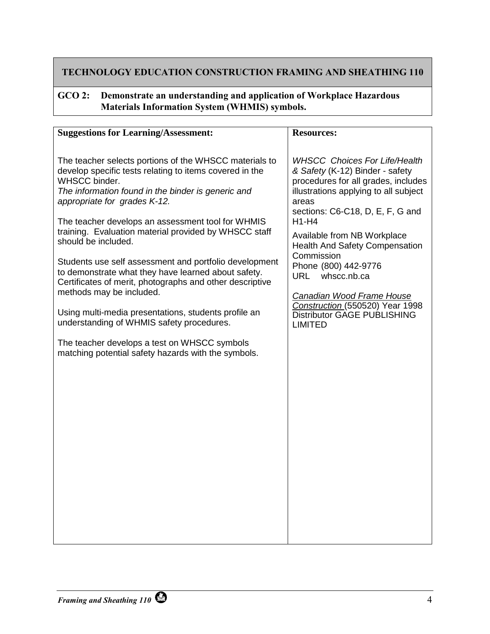#### **GCO 2: Demonstrate an understanding and application of Workplace Hazardous Materials Information System (WHMIS) symbols.**

| <b>Suggestions for Learning/Assessment:</b>                                                                                                                                                                                                                                                                                                                                                                                                                                                                                                                                                                                                                                 | <b>Resources:</b>                                                                                                                                                                                                                                                                                                                                                                                                                                                                  |
|-----------------------------------------------------------------------------------------------------------------------------------------------------------------------------------------------------------------------------------------------------------------------------------------------------------------------------------------------------------------------------------------------------------------------------------------------------------------------------------------------------------------------------------------------------------------------------------------------------------------------------------------------------------------------------|------------------------------------------------------------------------------------------------------------------------------------------------------------------------------------------------------------------------------------------------------------------------------------------------------------------------------------------------------------------------------------------------------------------------------------------------------------------------------------|
| The teacher selects portions of the WHSCC materials to<br>develop specific tests relating to items covered in the<br>WHSCC binder.<br>The information found in the binder is generic and<br>appropriate for grades K-12.<br>The teacher develops an assessment tool for WHMIS<br>training. Evaluation material provided by WHSCC staff<br>should be included.<br>Students use self assessment and portfolio development<br>to demonstrate what they have learned about safety.<br>Certificates of merit, photographs and other descriptive<br>methods may be included.<br>Using multi-media presentations, students profile an<br>understanding of WHMIS safety procedures. | <b>WHSCC Choices For Life/Health</b><br>& Safety (K-12) Binder - safety<br>procedures for all grades, includes<br>illustrations applying to all subject<br>areas<br>sections: C6-C18, D, E, F, G and<br>$H1-H4$<br>Available from NB Workplace<br><b>Health And Safety Compensation</b><br>Commission<br>Phone (800) 442-9776<br>whscc.nb.ca<br><b>URL</b><br>Canadian Wood Frame House<br>Construction (550520) Year 1998<br><b>Distributor GAGE PUBLISHING</b><br><b>LIMITED</b> |
| The teacher develops a test on WHSCC symbols<br>matching potential safety hazards with the symbols.                                                                                                                                                                                                                                                                                                                                                                                                                                                                                                                                                                         |                                                                                                                                                                                                                                                                                                                                                                                                                                                                                    |
|                                                                                                                                                                                                                                                                                                                                                                                                                                                                                                                                                                                                                                                                             |                                                                                                                                                                                                                                                                                                                                                                                                                                                                                    |
|                                                                                                                                                                                                                                                                                                                                                                                                                                                                                                                                                                                                                                                                             |                                                                                                                                                                                                                                                                                                                                                                                                                                                                                    |
|                                                                                                                                                                                                                                                                                                                                                                                                                                                                                                                                                                                                                                                                             |                                                                                                                                                                                                                                                                                                                                                                                                                                                                                    |
|                                                                                                                                                                                                                                                                                                                                                                                                                                                                                                                                                                                                                                                                             |                                                                                                                                                                                                                                                                                                                                                                                                                                                                                    |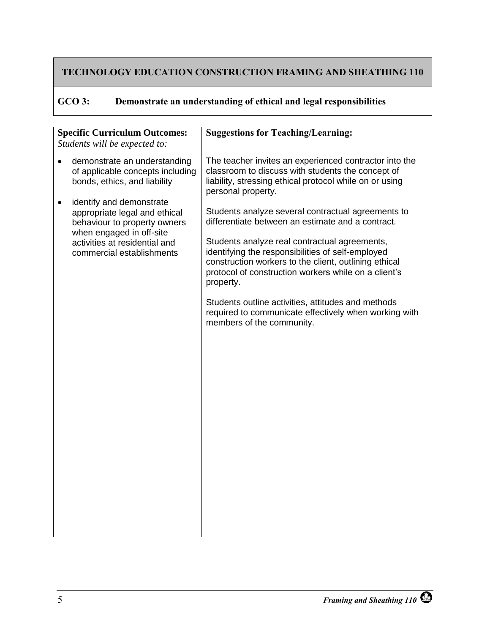<span id="page-10-0"></span>

| GCO 3: | Demonstrate an understanding of ethical and legal responsibilities |  |  |  |  |
|--------|--------------------------------------------------------------------|--|--|--|--|
|--------|--------------------------------------------------------------------|--|--|--|--|

| <b>Specific Curriculum Outcomes:</b><br>Students will be expected to: |                                                                                                                                                                                     | <b>Suggestions for Teaching/Learning:</b>                                                                                                                                                                                                                                                                                                                                                                                                                                               |
|-----------------------------------------------------------------------|-------------------------------------------------------------------------------------------------------------------------------------------------------------------------------------|-----------------------------------------------------------------------------------------------------------------------------------------------------------------------------------------------------------------------------------------------------------------------------------------------------------------------------------------------------------------------------------------------------------------------------------------------------------------------------------------|
|                                                                       | demonstrate an understanding<br>of applicable concepts including<br>bonds, ethics, and liability                                                                                    | The teacher invites an experienced contractor into the<br>classroom to discuss with students the concept of<br>liability, stressing ethical protocol while on or using<br>personal property.                                                                                                                                                                                                                                                                                            |
| $\bullet$                                                             | identify and demonstrate<br>appropriate legal and ethical<br>behaviour to property owners<br>when engaged in off-site<br>activities at residential and<br>commercial establishments | Students analyze several contractual agreements to<br>differentiate between an estimate and a contract.<br>Students analyze real contractual agreements,<br>identifying the responsibilities of self-employed<br>construction workers to the client, outlining ethical<br>protocol of construction workers while on a client's<br>property.<br>Students outline activities, attitudes and methods<br>required to communicate effectively when working with<br>members of the community. |
|                                                                       |                                                                                                                                                                                     |                                                                                                                                                                                                                                                                                                                                                                                                                                                                                         |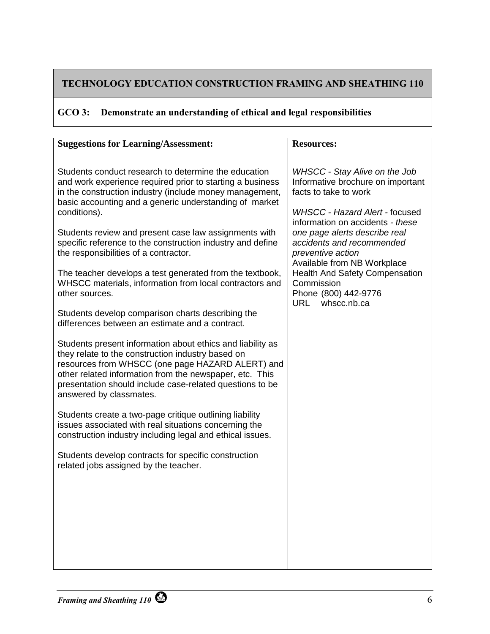# **GCO 3: Demonstrate an understanding of ethical and legal responsibilities**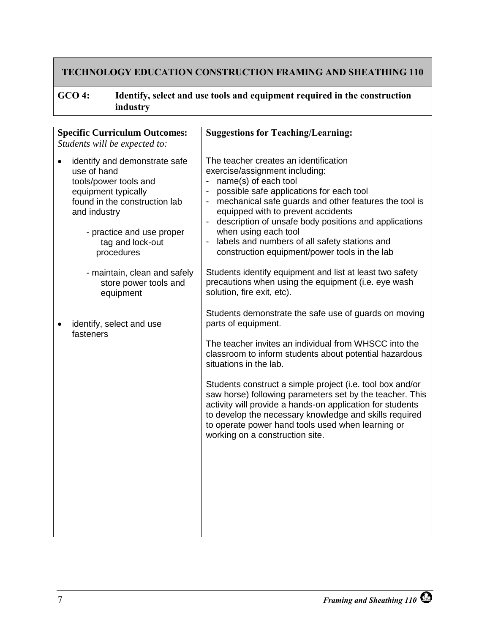## <span id="page-12-0"></span>**GCO 4: Identify, select and use tools and equipment required in the construction industry**

| Students will be expected to:                                                                                                                                                                                | <b>Suggestions for Teaching/Learning:</b>                                                                                                                                                                                                                                                                                                                                                                                                                                                                                                                         |  |
|--------------------------------------------------------------------------------------------------------------------------------------------------------------------------------------------------------------|-------------------------------------------------------------------------------------------------------------------------------------------------------------------------------------------------------------------------------------------------------------------------------------------------------------------------------------------------------------------------------------------------------------------------------------------------------------------------------------------------------------------------------------------------------------------|--|
| identify and demonstrate safe<br>use of hand<br>tools/power tools and<br>equipment typically<br>found in the construction lab<br>and industry<br>- practice and use proper<br>tag and lock-out<br>procedures | The teacher creates an identification<br>exercise/assignment including:<br>name(s) of each tool<br>$\blacksquare$<br>possible safe applications for each tool<br>mechanical safe guards and other features the tool is<br>$\overline{\phantom{a}}$<br>equipped with to prevent accidents<br>description of unsafe body positions and applications<br>when using each tool<br>labels and numbers of all safety stations and<br>$\blacksquare$<br>construction equipment/power tools in the lab                                                                     |  |
| - maintain, clean and safely<br>store power tools and<br>equipment                                                                                                                                           | Students identify equipment and list at least two safety<br>precautions when using the equipment (i.e. eye wash<br>solution, fire exit, etc).                                                                                                                                                                                                                                                                                                                                                                                                                     |  |
| identify, select and use                                                                                                                                                                                     | Students demonstrate the safe use of guards on moving<br>parts of equipment.<br>The teacher invites an individual from WHSCC into the<br>classroom to inform students about potential hazardous<br>situations in the lab.<br>Students construct a simple project (i.e. tool box and/or<br>saw horse) following parameters set by the teacher. This<br>activity will provide a hands-on application for students<br>to develop the necessary knowledge and skills required<br>to operate power hand tools used when learning or<br>working on a construction site. |  |
|                                                                                                                                                                                                              | <b>Specific Curriculum Outcomes:</b>                                                                                                                                                                                                                                                                                                                                                                                                                                                                                                                              |  |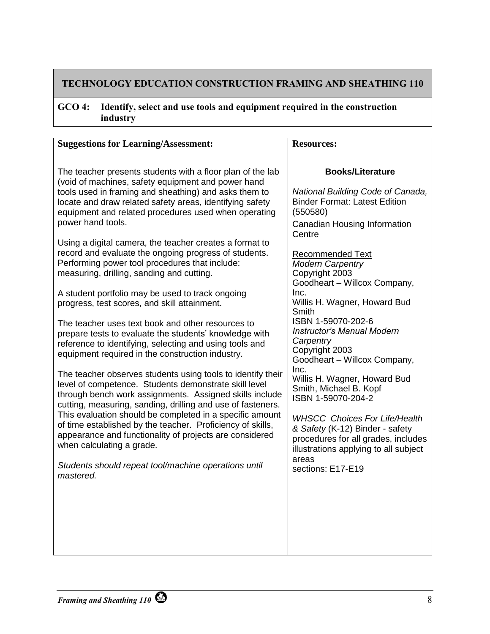#### **GCO 4: Identify, select and use tools and equipment required in the construction industry**

| <b>Suggestions for Learning/Assessment:</b>                       | <b>Resources:</b>                                       |
|-------------------------------------------------------------------|---------------------------------------------------------|
|                                                                   |                                                         |
| The teacher presents students with a floor plan of the lab        | <b>Books/Literature</b>                                 |
| (void of machines, safety equipment and power hand                |                                                         |
| tools used in framing and sheathing) and asks them to             | National Building Code of Canada,                       |
| locate and draw related safety areas, identifying safety          | <b>Binder Format: Latest Edition</b>                    |
| equipment and related procedures used when operating              | (550580)                                                |
| power hand tools.                                                 | Canadian Housing Information                            |
| Using a digital camera, the teacher creates a format to           | Centre                                                  |
| record and evaluate the ongoing progress of students.             |                                                         |
| Performing power tool procedures that include:                    | <b>Recommended Text</b><br><b>Modern Carpentry</b>      |
| measuring, drilling, sanding and cutting.                         | Copyright 2003                                          |
|                                                                   | Goodheart - Willcox Company,                            |
| A student portfolio may be used to track ongoing                  | Inc.                                                    |
| progress, test scores, and skill attainment.                      | Willis H. Wagner, Howard Bud                            |
|                                                                   | Smith                                                   |
| The teacher uses text book and other resources to                 | ISBN 1-59070-202-6<br><b>Instructor's Manual Modern</b> |
| prepare tests to evaluate the students' knowledge with            | Carpentry                                               |
| reference to identifying, selecting and using tools and           | Copyright 2003                                          |
| equipment required in the construction industry.                  | Goodheart - Willcox Company,                            |
| The teacher observes students using tools to identify their       | Inc.                                                    |
| level of competence. Students demonstrate skill level             | Willis H. Wagner, Howard Bud                            |
| through bench work assignments. Assigned skills include           | Smith, Michael B. Kopf                                  |
| cutting, measuring, sanding, drilling and use of fasteners.       | ISBN 1-59070-204-2                                      |
| This evaluation should be completed in a specific amount          | <b>WHSCC Choices For Life/Health</b>                    |
| of time established by the teacher. Proficiency of skills,        | & Safety (K-12) Binder - safety                         |
| appearance and functionality of projects are considered           | procedures for all grades, includes                     |
| when calculating a grade.                                         | illustrations applying to all subject                   |
|                                                                   | areas                                                   |
| Students should repeat tool/machine operations until<br>mastered. | sections: E17-E19                                       |
|                                                                   |                                                         |
|                                                                   |                                                         |
|                                                                   |                                                         |
|                                                                   |                                                         |
|                                                                   |                                                         |
|                                                                   |                                                         |
|                                                                   |                                                         |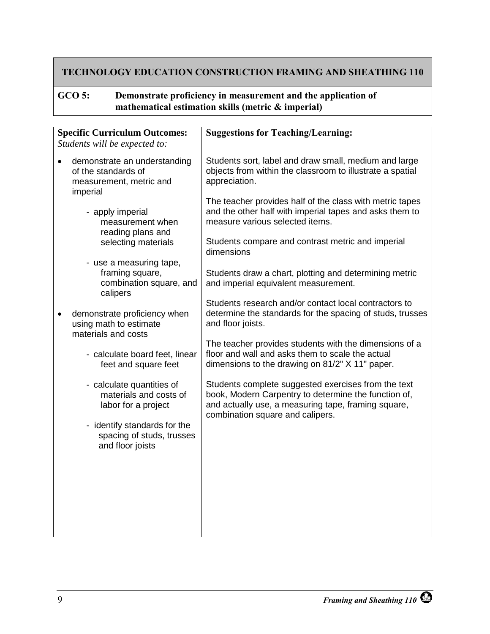#### <span id="page-14-0"></span>**GCO 5: Demonstrate proficiency in measurement and the application of mathematical estimation skills (metric & imperial)**

| <b>Specific Curriculum Outcomes:</b> |                                                                                            | <b>Suggestions for Teaching/Learning:</b>                                                                                                                                                              |
|--------------------------------------|--------------------------------------------------------------------------------------------|--------------------------------------------------------------------------------------------------------------------------------------------------------------------------------------------------------|
|                                      | Students will be expected to:                                                              |                                                                                                                                                                                                        |
| $\bullet$                            | demonstrate an understanding<br>of the standards of<br>measurement, metric and<br>imperial | Students sort, label and draw small, medium and large<br>objects from within the classroom to illustrate a spatial<br>appreciation.                                                                    |
|                                      | - apply imperial<br>measurement when<br>reading plans and                                  | The teacher provides half of the class with metric tapes<br>and the other half with imperial tapes and asks them to<br>measure various selected items.                                                 |
|                                      | selecting materials                                                                        | Students compare and contrast metric and imperial<br>dimensions                                                                                                                                        |
|                                      | - use a measuring tape,<br>framing square,<br>combination square, and<br>calipers          | Students draw a chart, plotting and determining metric<br>and imperial equivalent measurement.                                                                                                         |
| ٠                                    | demonstrate proficiency when<br>using math to estimate<br>materials and costs              | Students research and/or contact local contractors to<br>determine the standards for the spacing of studs, trusses<br>and floor joists.                                                                |
|                                      | - calculate board feet, linear<br>feet and square feet                                     | The teacher provides students with the dimensions of a<br>floor and wall and asks them to scale the actual<br>dimensions to the drawing on 81/2" X 11" paper.                                          |
|                                      | - calculate quantities of<br>materials and costs of<br>labor for a project                 | Students complete suggested exercises from the text<br>book, Modern Carpentry to determine the function of,<br>and actually use, a measuring tape, framing square,<br>combination square and calipers. |
|                                      | - identify standards for the<br>spacing of studs, trusses<br>and floor joists              |                                                                                                                                                                                                        |
|                                      |                                                                                            |                                                                                                                                                                                                        |
|                                      |                                                                                            |                                                                                                                                                                                                        |
|                                      |                                                                                            |                                                                                                                                                                                                        |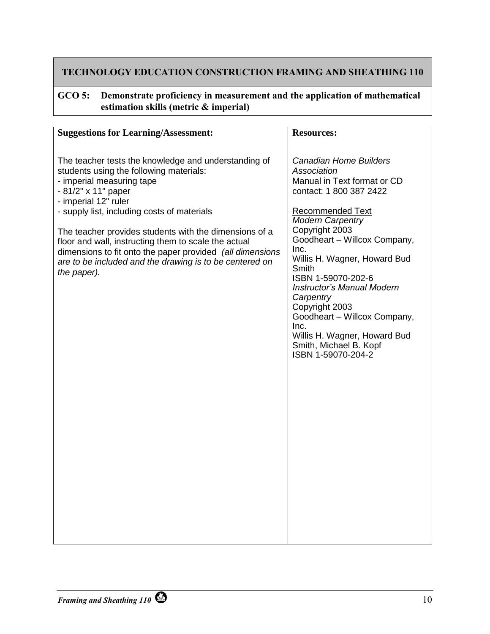#### **GCO 5: Demonstrate proficiency in measurement and the application of mathematical estimation skills (metric & imperial)**

| <b>Suggestions for Learning/Assessment:</b>                                                                                                                                                                                                                                                                                                                                                                                                                                         | <b>Resources:</b>                                                                                                                                                                                                                                                                                                                                                                                                                                                                 |
|-------------------------------------------------------------------------------------------------------------------------------------------------------------------------------------------------------------------------------------------------------------------------------------------------------------------------------------------------------------------------------------------------------------------------------------------------------------------------------------|-----------------------------------------------------------------------------------------------------------------------------------------------------------------------------------------------------------------------------------------------------------------------------------------------------------------------------------------------------------------------------------------------------------------------------------------------------------------------------------|
|                                                                                                                                                                                                                                                                                                                                                                                                                                                                                     |                                                                                                                                                                                                                                                                                                                                                                                                                                                                                   |
| The teacher tests the knowledge and understanding of<br>students using the following materials:<br>- imperial measuring tape<br>- 81/2" x 11" paper<br>- imperial 12" ruler<br>- supply list, including costs of materials<br>The teacher provides students with the dimensions of a<br>floor and wall, instructing them to scale the actual<br>dimensions to fit onto the paper provided (all dimensions<br>are to be included and the drawing is to be centered on<br>the paper). | <b>Canadian Home Builders</b><br>Association<br>Manual in Text format or CD<br>contact: 1 800 387 2422<br><b>Recommended Text</b><br><b>Modern Carpentry</b><br>Copyright 2003<br>Goodheart - Willcox Company,<br>Inc.<br>Willis H. Wagner, Howard Bud<br>Smith<br>ISBN 1-59070-202-6<br><b>Instructor's Manual Modern</b><br>Carpentry<br>Copyright 2003<br>Goodheart - Willcox Company,<br>Inc.<br>Willis H. Wagner, Howard Bud<br>Smith, Michael B. Kopf<br>ISBN 1-59070-204-2 |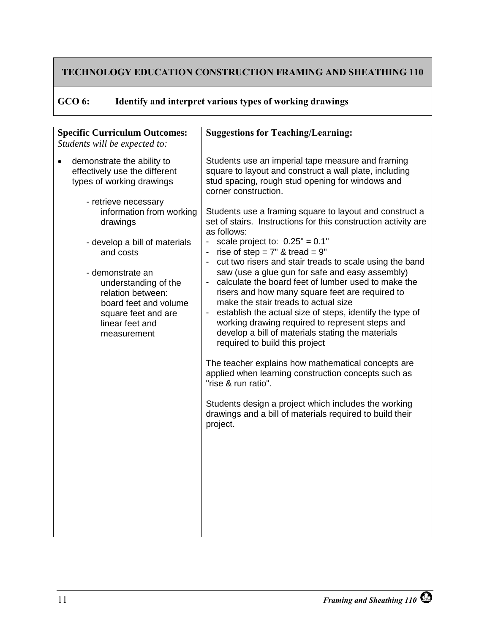<span id="page-16-0"></span>

| GCO 6: | Identify and interpret various types of working drawings |  |  |
|--------|----------------------------------------------------------|--|--|
|--------|----------------------------------------------------------|--|--|

| <b>Specific Curriculum Outcomes:</b><br>Students will be expected to: |                                                                                                                                                 | <b>Suggestions for Teaching/Learning:</b>                                                                                                                                                                                                                                                                                                                                                               |
|-----------------------------------------------------------------------|-------------------------------------------------------------------------------------------------------------------------------------------------|---------------------------------------------------------------------------------------------------------------------------------------------------------------------------------------------------------------------------------------------------------------------------------------------------------------------------------------------------------------------------------------------------------|
|                                                                       | demonstrate the ability to<br>effectively use the different<br>types of working drawings                                                        | Students use an imperial tape measure and framing<br>square to layout and construct a wall plate, including<br>stud spacing, rough stud opening for windows and<br>corner construction.                                                                                                                                                                                                                 |
|                                                                       | - retrieve necessary<br>information from working<br>drawings                                                                                    | Students use a framing square to layout and construct a<br>set of stairs. Instructions for this construction activity are<br>as follows:                                                                                                                                                                                                                                                                |
|                                                                       | - develop a bill of materials<br>and costs                                                                                                      | - scale project to: $0.25" = 0.1"$<br>rise of step = $7"$ & tread = $9"$<br>cut two risers and stair treads to scale using the band                                                                                                                                                                                                                                                                     |
|                                                                       | - demonstrate an<br>understanding of the<br>relation between:<br>board feet and volume<br>square feet and are<br>linear feet and<br>measurement | saw (use a glue gun for safe and easy assembly)<br>calculate the board feet of lumber used to make the<br>risers and how many square feet are required to<br>make the stair treads to actual size<br>establish the actual size of steps, identify the type of<br>working drawing required to represent steps and<br>develop a bill of materials stating the materials<br>required to build this project |
|                                                                       |                                                                                                                                                 | The teacher explains how mathematical concepts are<br>applied when learning construction concepts such as<br>"rise & run ratio".                                                                                                                                                                                                                                                                        |
|                                                                       |                                                                                                                                                 | Students design a project which includes the working<br>drawings and a bill of materials required to build their<br>project.                                                                                                                                                                                                                                                                            |
|                                                                       |                                                                                                                                                 |                                                                                                                                                                                                                                                                                                                                                                                                         |
|                                                                       |                                                                                                                                                 |                                                                                                                                                                                                                                                                                                                                                                                                         |
|                                                                       |                                                                                                                                                 |                                                                                                                                                                                                                                                                                                                                                                                                         |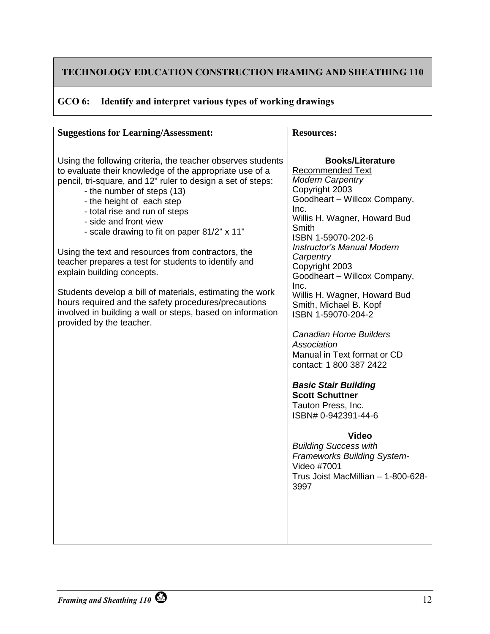## **GCO 6: Identify and interpret various types of working drawings**

| <b>Suggestions for Learning/Assessment:</b>                                                                                                                                                                                                                                                                                                                                                                                                                                                                                                                                                                                                                                                                          | <b>Resources:</b>                                                                                                                                                                                                                                                                                                                                                                                                                                                                                                                                                                                                                                                                                                                                                     |
|----------------------------------------------------------------------------------------------------------------------------------------------------------------------------------------------------------------------------------------------------------------------------------------------------------------------------------------------------------------------------------------------------------------------------------------------------------------------------------------------------------------------------------------------------------------------------------------------------------------------------------------------------------------------------------------------------------------------|-----------------------------------------------------------------------------------------------------------------------------------------------------------------------------------------------------------------------------------------------------------------------------------------------------------------------------------------------------------------------------------------------------------------------------------------------------------------------------------------------------------------------------------------------------------------------------------------------------------------------------------------------------------------------------------------------------------------------------------------------------------------------|
|                                                                                                                                                                                                                                                                                                                                                                                                                                                                                                                                                                                                                                                                                                                      |                                                                                                                                                                                                                                                                                                                                                                                                                                                                                                                                                                                                                                                                                                                                                                       |
| Using the following criteria, the teacher observes students<br>to evaluate their knowledge of the appropriate use of a<br>pencil, tri-square, and 12" ruler to design a set of steps:<br>- the number of steps (13)<br>- the height of each step<br>- total rise and run of steps<br>- side and front view<br>- scale drawing to fit on paper 81/2" x 11"<br>Using the text and resources from contractors, the<br>teacher prepares a test for students to identify and<br>explain building concepts.<br>Students develop a bill of materials, estimating the work<br>hours required and the safety procedures/precautions<br>involved in building a wall or steps, based on information<br>provided by the teacher. | <b>Books/Literature</b><br><b>Recommended Text</b><br><b>Modern Carpentry</b><br>Copyright 2003<br>Goodheart - Willcox Company,<br>Inc.<br>Willis H. Wagner, Howard Bud<br>Smith<br>ISBN 1-59070-202-6<br><b>Instructor's Manual Modern</b><br>Carpentry<br>Copyright 2003<br>Goodheart - Willcox Company,<br>Inc.<br>Willis H. Wagner, Howard Bud<br>Smith, Michael B. Kopf<br>ISBN 1-59070-204-2<br><b>Canadian Home Builders</b><br>Association<br>Manual in Text format or CD<br>contact: 1 800 387 2422<br><b>Basic Stair Building</b><br><b>Scott Schuttner</b><br>Tauton Press, Inc.<br>ISBN# 0-942391-44-6<br><b>Video</b><br><b>Building Success with</b><br><b>Frameworks Building System-</b><br>Video #7001<br>Trus Joist MacMillian - 1-800-628-<br>3997 |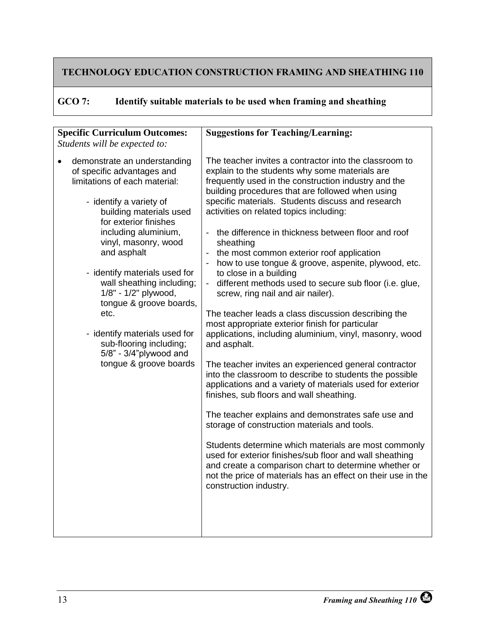<span id="page-18-0"></span>

| GCO 7: |  | Identify suitable materials to be used when framing and sheathing |  |  |
|--------|--|-------------------------------------------------------------------|--|--|
|--------|--|-------------------------------------------------------------------|--|--|

| <b>Specific Curriculum Outcomes:</b><br>Students will be expected to:                                                                                                                                                                                                                                                                                                                                                                                                              | <b>Suggestions for Teaching/Learning:</b>                                                                                                                                                                                                                                                                                                                                                                                                                                                                                                                                                                                                                                                                                                                                                                                                                                                                                                                                                                                                                                                                                                                                                                                                                                                                                                                                                                                            |
|------------------------------------------------------------------------------------------------------------------------------------------------------------------------------------------------------------------------------------------------------------------------------------------------------------------------------------------------------------------------------------------------------------------------------------------------------------------------------------|--------------------------------------------------------------------------------------------------------------------------------------------------------------------------------------------------------------------------------------------------------------------------------------------------------------------------------------------------------------------------------------------------------------------------------------------------------------------------------------------------------------------------------------------------------------------------------------------------------------------------------------------------------------------------------------------------------------------------------------------------------------------------------------------------------------------------------------------------------------------------------------------------------------------------------------------------------------------------------------------------------------------------------------------------------------------------------------------------------------------------------------------------------------------------------------------------------------------------------------------------------------------------------------------------------------------------------------------------------------------------------------------------------------------------------------|
| demonstrate an understanding<br>of specific advantages and<br>limitations of each material:<br>- identify a variety of<br>building materials used<br>for exterior finishes<br>including aluminium,<br>vinyl, masonry, wood<br>and asphalt<br>- identify materials used for<br>wall sheathing including;<br>1/8" - 1/2" plywood,<br>tongue & groove boards,<br>etc.<br>- identify materials used for<br>sub-flooring including;<br>5/8" - 3/4"plywood and<br>tongue & groove boards | The teacher invites a contractor into the classroom to<br>explain to the students why some materials are<br>frequently used in the construction industry and the<br>building procedures that are followed when using<br>specific materials. Students discuss and research<br>activities on related topics including:<br>the difference in thickness between floor and roof<br>sheathing<br>the most common exterior roof application<br>how to use tongue & groove, aspenite, plywood, etc.<br>to close in a building<br>different methods used to secure sub floor (i.e. glue,<br>$\blacksquare$<br>screw, ring nail and air nailer).<br>The teacher leads a class discussion describing the<br>most appropriate exterior finish for particular<br>applications, including aluminium, vinyl, masonry, wood<br>and asphalt.<br>The teacher invites an experienced general contractor<br>into the classroom to describe to students the possible<br>applications and a variety of materials used for exterior<br>finishes, sub floors and wall sheathing.<br>The teacher explains and demonstrates safe use and<br>storage of construction materials and tools.<br>Students determine which materials are most commonly<br>used for exterior finishes/sub floor and wall sheathing<br>and create a comparison chart to determine whether or<br>not the price of materials has an effect on their use in the<br>construction industry. |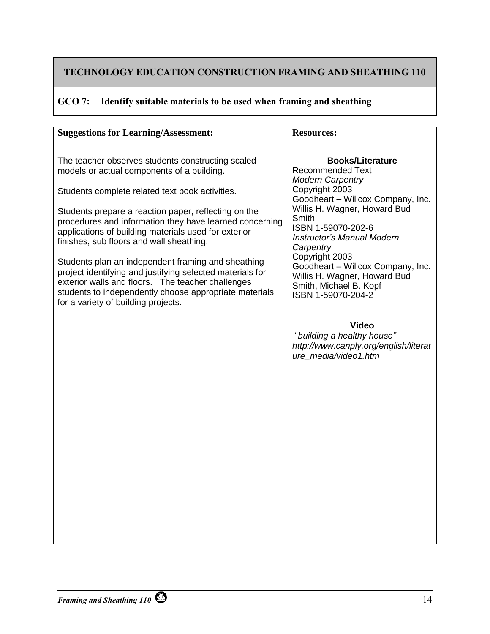## **GCO 7: Identify suitable materials to be used when framing and sheathing**

| <b>Suggestions for Learning/Assessment:</b>                                                                    | <b>Resources:</b>                                   |
|----------------------------------------------------------------------------------------------------------------|-----------------------------------------------------|
|                                                                                                                |                                                     |
| The teacher observes students constructing scaled                                                              | <b>Books/Literature</b>                             |
| models or actual components of a building.                                                                     | <b>Recommended Text</b>                             |
|                                                                                                                | <b>Modern Carpentry</b>                             |
| Students complete related text book activities.                                                                | Copyright 2003<br>Goodheart - Willcox Company, Inc. |
| Students prepare a reaction paper, reflecting on the                                                           | Willis H. Wagner, Howard Bud                        |
| procedures and information they have learned concerning                                                        | Smith                                               |
| applications of building materials used for exterior                                                           | ISBN 1-59070-202-6                                  |
| finishes, sub floors and wall sheathing.                                                                       | <b>Instructor's Manual Modern</b><br>Carpentry      |
|                                                                                                                | Copyright 2003                                      |
| Students plan an independent framing and sheathing                                                             | Goodheart - Willcox Company, Inc.                   |
| project identifying and justifying selected materials for<br>exterior walls and floors. The teacher challenges | Willis H. Wagner, Howard Bud                        |
| students to independently choose appropriate materials                                                         | Smith, Michael B. Kopf<br>ISBN 1-59070-204-2        |
| for a variety of building projects.                                                                            |                                                     |
|                                                                                                                |                                                     |
|                                                                                                                | <b>Video</b>                                        |
|                                                                                                                | "building a healthy house"                          |
|                                                                                                                | http://www.canply.org/english/literat               |
|                                                                                                                | ure media/video1.htm                                |
|                                                                                                                |                                                     |
|                                                                                                                |                                                     |
|                                                                                                                |                                                     |
|                                                                                                                |                                                     |
|                                                                                                                |                                                     |
|                                                                                                                |                                                     |
|                                                                                                                |                                                     |
|                                                                                                                |                                                     |
|                                                                                                                |                                                     |
|                                                                                                                |                                                     |
|                                                                                                                |                                                     |
|                                                                                                                |                                                     |
|                                                                                                                |                                                     |
|                                                                                                                |                                                     |
|                                                                                                                |                                                     |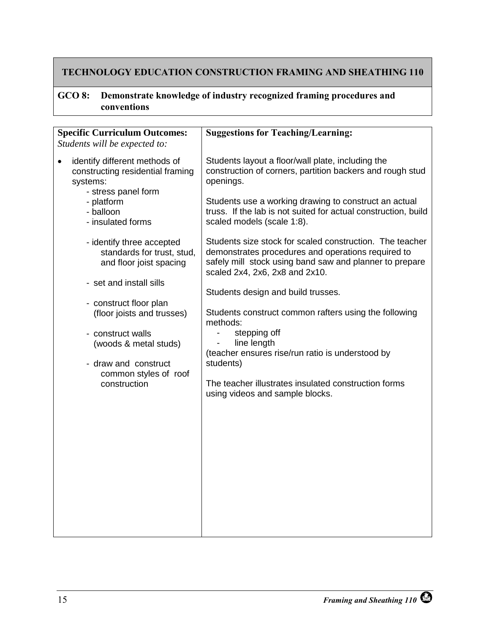#### <span id="page-20-0"></span>**GCO 8: Demonstrate knowledge of industry recognized framing procedures and conventions**

| <b>Specific Curriculum Outcomes:</b><br>Students will be expected to:                                                                                                                                                                                                                                                                                                                                                                        | <b>Suggestions for Teaching/Learning:</b>                                                                                                                                                                                                                                                                                                                                                                                                                                                                                                                                                                                                                                                                                                                                                                 |
|----------------------------------------------------------------------------------------------------------------------------------------------------------------------------------------------------------------------------------------------------------------------------------------------------------------------------------------------------------------------------------------------------------------------------------------------|-----------------------------------------------------------------------------------------------------------------------------------------------------------------------------------------------------------------------------------------------------------------------------------------------------------------------------------------------------------------------------------------------------------------------------------------------------------------------------------------------------------------------------------------------------------------------------------------------------------------------------------------------------------------------------------------------------------------------------------------------------------------------------------------------------------|
| identify different methods of<br>constructing residential framing<br>systems:<br>- stress panel form<br>- platform<br>- balloon<br>- insulated forms<br>- identify three accepted<br>standards for trust, stud,<br>and floor joist spacing<br>- set and install sills<br>- construct floor plan<br>(floor joists and trusses)<br>- construct walls<br>(woods & metal studs)<br>- draw and construct<br>common styles of roof<br>construction | Students layout a floor/wall plate, including the<br>construction of corners, partition backers and rough stud<br>openings.<br>Students use a working drawing to construct an actual<br>truss. If the lab is not suited for actual construction, build<br>scaled models (scale 1:8).<br>Students size stock for scaled construction. The teacher<br>demonstrates procedures and operations required to<br>safely mill stock using band saw and planner to prepare<br>scaled 2x4, 2x6, 2x8 and 2x10.<br>Students design and build trusses.<br>Students construct common rafters using the following<br>methods:<br>stepping off<br>line length<br>(teacher ensures rise/run ratio is understood by<br>students)<br>The teacher illustrates insulated construction forms<br>using videos and sample blocks. |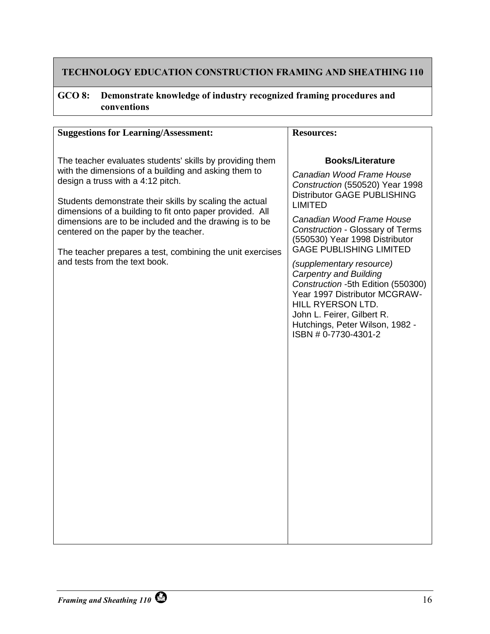## **GCO 8: Demonstrate knowledge of industry recognized framing procedures and conventions**

| <b>Suggestions for Learning/Assessment:</b>                                                                                                                                                                                                                                                                                                                                                                                                                                   | <b>Resources:</b>                                                                                                                                                                                                                                                                                                                                                                                                                                                                                                                     |
|-------------------------------------------------------------------------------------------------------------------------------------------------------------------------------------------------------------------------------------------------------------------------------------------------------------------------------------------------------------------------------------------------------------------------------------------------------------------------------|---------------------------------------------------------------------------------------------------------------------------------------------------------------------------------------------------------------------------------------------------------------------------------------------------------------------------------------------------------------------------------------------------------------------------------------------------------------------------------------------------------------------------------------|
| The teacher evaluates students' skills by providing them<br>with the dimensions of a building and asking them to<br>design a truss with a 4:12 pitch.<br>Students demonstrate their skills by scaling the actual<br>dimensions of a building to fit onto paper provided. All<br>dimensions are to be included and the drawing is to be<br>centered on the paper by the teacher.<br>The teacher prepares a test, combining the unit exercises<br>and tests from the text book. | <b>Books/Literature</b><br>Canadian Wood Frame House<br>Construction (550520) Year 1998<br><b>Distributor GAGE PUBLISHING</b><br><b>LIMITED</b><br>Canadian Wood Frame House<br>Construction - Glossary of Terms<br>(550530) Year 1998 Distributor<br><b>GAGE PUBLISHING LIMITED</b><br>(supplementary resource)<br><b>Carpentry and Building</b><br>Construction -5th Edition (550300)<br>Year 1997 Distributor MCGRAW-<br>HILL RYERSON LTD.<br>John L. Feirer, Gilbert R.<br>Hutchings, Peter Wilson, 1982 -<br>ISBN #0-7730-4301-2 |
|                                                                                                                                                                                                                                                                                                                                                                                                                                                                               |                                                                                                                                                                                                                                                                                                                                                                                                                                                                                                                                       |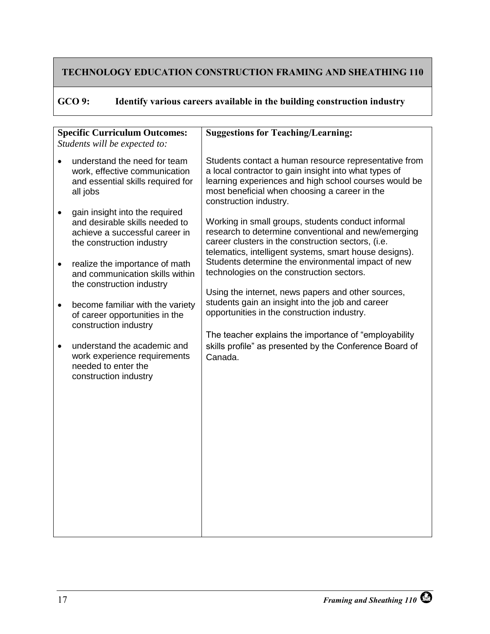<span id="page-22-0"></span>

| GCO 9: |  | Identify various careers available in the building construction industry |  |
|--------|--|--------------------------------------------------------------------------|--|
|--------|--|--------------------------------------------------------------------------|--|

|           | <b>Specific Curriculum Outcomes:</b>                                                                                            | <b>Suggestions for Teaching/Learning:</b>                                                                                                                                                                                                          |
|-----------|---------------------------------------------------------------------------------------------------------------------------------|----------------------------------------------------------------------------------------------------------------------------------------------------------------------------------------------------------------------------------------------------|
|           | Students will be expected to:                                                                                                   |                                                                                                                                                                                                                                                    |
| $\bullet$ | understand the need for team<br>work, effective communication<br>and essential skills required for<br>all jobs                  | Students contact a human resource representative from<br>a local contractor to gain insight into what types of<br>learning experiences and high school courses would be<br>most beneficial when choosing a career in the<br>construction industry. |
| $\bullet$ | gain insight into the required<br>and desirable skills needed to<br>achieve a successful career in<br>the construction industry | Working in small groups, students conduct informal<br>research to determine conventional and new/emerging<br>career clusters in the construction sectors, (i.e.<br>telematics, intelligent systems, smart house designs).                          |
| $\bullet$ | realize the importance of math<br>and communication skills within<br>the construction industry                                  | Students determine the environmental impact of new<br>technologies on the construction sectors.<br>Using the internet, news papers and other sources,                                                                                              |
| $\bullet$ | become familiar with the variety<br>of career opportunities in the<br>construction industry                                     | students gain an insight into the job and career<br>opportunities in the construction industry.                                                                                                                                                    |
| $\bullet$ | understand the academic and<br>work experience requirements<br>needed to enter the<br>construction industry                     | The teacher explains the importance of "employability"<br>skills profile" as presented by the Conference Board of<br>Canada.                                                                                                                       |
|           |                                                                                                                                 |                                                                                                                                                                                                                                                    |
|           |                                                                                                                                 |                                                                                                                                                                                                                                                    |
|           |                                                                                                                                 |                                                                                                                                                                                                                                                    |
|           |                                                                                                                                 |                                                                                                                                                                                                                                                    |